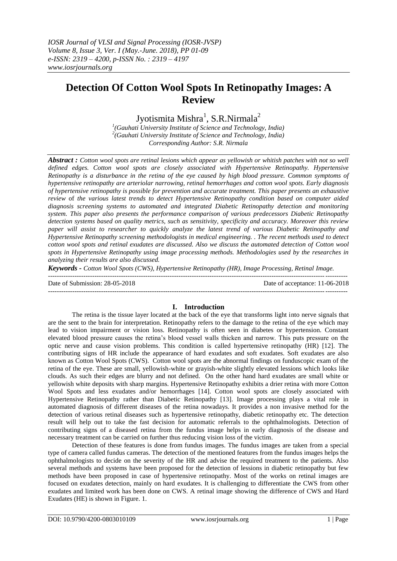## **Detection Of Cotton Wool Spots In Retinopathy Images: A Review**

Jyotismita Mishra $^1$ , S.R.Nirmala $^2$ 

*1 (Gauhati University Institute of Science and Technology, India) 2 (Gauhati University Institute of Science and Technology, India) Corresponding Author: S.R. Nirmala*

*Abstract : Cotton wool spots are retinal lesions which appear as yellowish or whitish patches with not so well defined edges. Cotton wool spots are closely associated with Hypertensive Retinopathy. Hypertensive Retinopathy is a disturbance in the retina of the eye caused by high blood pressure. Common symptoms of hypertensive retinopathy are arteriolar narrowing, retinal hemorrhages and cotton wool spots. Early diagnosis of hypertensive retinopathy is possible for prevention and accurate treatment. This paper presents an exhaustive review* of *the various latest trends to detect Hypertensive Retinopathy condition based on computer aided diagnosis screening systems to automated and integrated Diabetic Retinopathy detection and monitoring system. This paper also presents the performance comparison of various predecessors Diabetic Retinopathy detection systems based on quality metrics, such as sensitivity, specificity and accuracy. Moreover this review paper will assist to researcher to quickly analyze the latest trend of various Diabetic Retinopathy and Hypertensive Retinopathy screening methodologists in medical engineering. . The recent methods used to detect cotton wool spots and retinal exudates are discussed. Also we discuss the automated detection of Cotton wool spots in Hypertensive Retinopathy using image processing methods. Methodologies used by the researches in analyzing their results are also discussed.* 

*Keywords - Cotton Wool Spots (CWS), Hypertensive Retinopathy (HR), Image Processing, Retinal Image.* ---------------------------------------------------------------------------------------------------------------------------------------

Date of Submission: 28-05-2018 Date of acceptance: 11-06-2018

### **I. Introduction**

The retina is the tissue layer located at the back of the eye that transforms light into nerve signals that are the sent to the brain for interpretation. Retinopathy refers to the damage to the retina of the eye which may lead to vision impairment or vision loss. Retinopathy is often seen in diabetes or hypertension. Constant elevated blood pressure causes the retina's blood vessel walls thicken and narrow. This puts pressure on the optic nerve and cause vision problems. This condition is called hypertensive retinopathy (HR) [12]. The contributing signs of HR include the appearance of hard exudates and soft exudates. Soft exudates are also known as Cotton Wool Spots (CWS). Cotton wool spots are the abnormal findings on funduscopic exam of the retina of the eye. These are small, yellowish-white or grayish-white slightly elevated lessions which looks like clouds. As such their edges are blurry and not defined. On the other hand hard exudates are small white or yellowish white deposits with sharp margins. Hypertensive Retinopathy exhibits a drier retina with more Cotton Wool Spots and less exudates and/or hemorrhages [14]. Cotton wool spots are closely associated with Hypertensive Retinopathy rather than Diabetic Retinopathy [13]. Image processing plays a vital role in automated diagnosis of different diseases of the retina nowadays. It provides a non invasive method for the detection of various retinal diseases such as hypertensive retinopathy, diabetic retinopathy etc. The detection result will help out to take the fast decision for automatic referrals to the ophthalmologists. Detection of contributing signs of a diseased retina from the fundus image helps in early diagnosis of the disease and necessary treatment can be carried on further thus reducing vision loss of the victim.

Detection of these features is done from fundus images. The fundus images are taken from a special type of camera called fundus cameras. The detection of the mentioned features from the fundus images helps the ophthalmologists to decide on the severity of the HR and advise the required treatment to the patients. Also several methods and systems have been proposed for the detection of lessions in diabetic retinopathy but few methods have been proposed in case of hypertensive retinopathy. Most of the works on retinal images are focused on exudates detection, mainly on hard exudates. It is challenging to differentiate the CWS from other exudates and limited work has been done on CWS. A retinal image showing the difference of CWS and Hard Exudates (HE) is shown in Figure. 1.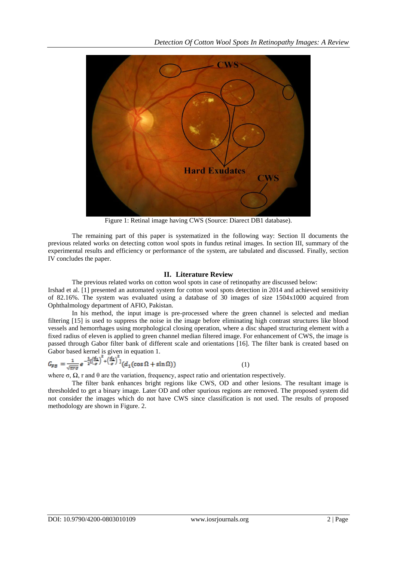

Figure 1: Retinal image having CWS (Source: Diarect DB1 database).

The remaining part of this paper is systematized in the following way: Section II documents the previous related works on detecting cotton wool spots in fundus retinal images. In section III, summary of the experimental results and efficiency or performance of the system, are tabulated and discussed. Finally, section IV concludes the paper.

### **II. Literature Review**

The previous related works on cotton wool spots in case of retinopathy are discussed below: Irshad et al. [1] presented an automated system for cotton wool spots detection in 2014 and achieved sensitivity of 82.16%. The system was evaluated using a database of 30 images of size 1504x1000 acquired from Ophthalmology department of AFIO, Pakistan.

In his method, the input image is pre-processed where the green channel is selected and median filtering [15] is used to suppress the noise in the image before eliminating high contrast structures like blood vessels and hemorrhages using morphological closing operation, where a disc shaped structuring element with a fixed radius of eleven is applied to green channel median filtered image. For enhancement of CWS, the image is passed through Gabor filter bank of different scale and orientations [16]. The filter bank is created based on Gabor based kernel is given in equation 1.

$$
G_{FB} = \frac{1}{\sqrt{\pi r \sigma}} e^{-\frac{1}{2} \left[ \left( \frac{d_1}{\sigma} \right)^2 + \left( \frac{d_2}{\sigma} \right)^2 \right]} (d_1(\cos \Omega + \sin \Omega)) \tag{1}
$$

where  $\sigma$ ,  $\Omega$ , r and  $\theta$  are the variation, frequency, aspect ratio and orientation respectively.

The filter bank enhances bright regions like CWS, OD and other lesions. The resultant image is thresholded to get a binary image. Later OD and other spurious regions are removed. The proposed system did not consider the images which do not have CWS since classification is not used. The results of proposed methodology are shown in Figure. 2.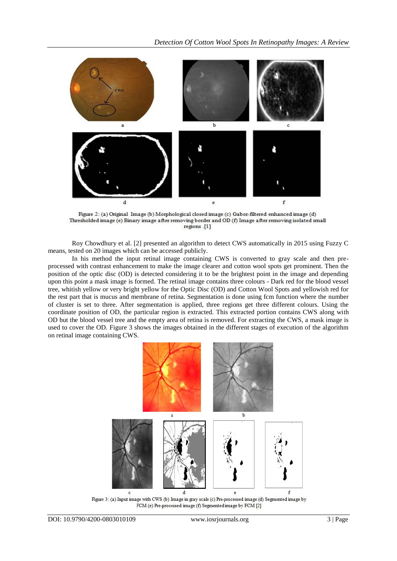

Figure 2: (a) Original Image (b) Morphological closed image (c) Gabor-filtered enhanced image (d) Thresholded image (e) Binary image after removing border and OD (f) Image after removing isolated small regions [1]

Roy Chowdhury et al. [2] presented an algorithm to detect CWS automatically in 2015 using Fuzzy C means, tested on 20 images which can be accessed publicly.

In his method the input retinal image containing CWS is converted to gray scale and then preprocessed with contrast enhancement to make the image clearer and cotton wool spots get prominent. Then the position of the optic disc (OD) is detected considering it to be the brightest point in the image and depending upon this point a mask image is formed. The retinal image contains three colours - Dark red for the blood vessel tree, whitish yellow or very bright yellow for the Optic Disc (OD) and Cotton Wool Spots and yellowish red for the rest part that is mucus and membrane of retina. Segmentation is done using fcm function where the number of cluster is set to three. After segmentation is applied, three regions get three different colours. Using the coordinate position of OD, the particular region is extracted. This extracted portion contains CWS along with OD but the blood vessel tree and the empty area of retina is removed. For extracting the CWS, a mask image is used to cover the OD. Figure 3 shows the images obtained in the different stages of execution of the algorithm on retinal image containing CWS.



FCM (e) Pre-processed image (f) Segmented image by FCM [2]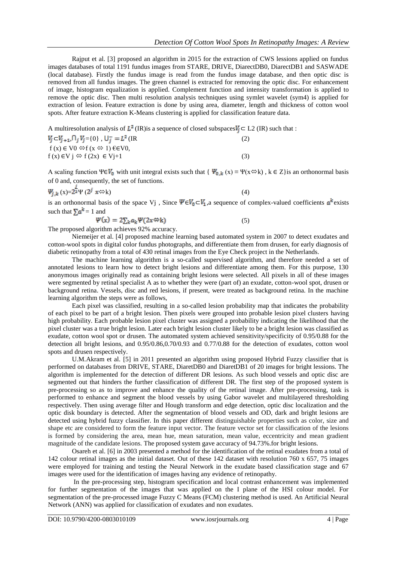Rajput et al. [3] proposed an algorithm in 2015 for the extraction of CWS lessions applied on fundus images databases of total 1191 fundus images from STARE, DRIVE, DiarectDB0, DiarectDB1 and SASWADE (local database). Firstly the fundus image is read from the fundus image database, and then optic disc is removed from all fundus images. The green channel is extracted for removing the optic disc. For enhancement of image, histogram equalization is applied. Complement function and intensity transformation is applied to remove the optic disc. Then multi resolution analysis techniques using symlet wavelet (sym4) is applied for extraction of lesion. Feature extraction is done by using area, diameter, length and thickness of cotton wool spots. After feature extraction K-Means clustering is applied for classification feature data.

A multiresolution analysis of  $L^2$  (IR) is a sequence of closed subspaces  $V_i \subset L^2$  (IR) such that :

| $V_j \subset V_{j+1} \cap_j V_j = \{0\}$ , $U_j^- = L^2$ (IR)  | (2) |
|----------------------------------------------------------------|-----|
| $f(x) \in V0 \Leftrightarrow f(x \Leftrightarrow 1) \in CV0$ , |     |
| $f(x) \in V$ $\Rightarrow$ $f(2x) \in V$ $\rightarrow$ 1       |     |

A scaling function  $\Psi \in V_0$  with unit integral exists such that {  $\Psi_{0,k}(x) = \Psi(x \Leftrightarrow k)$ ,  $k \in \mathbb{Z}$ } is an orthonormal basis of 0 and, consequently, the set of functions.

$$
\Psi_{j,k}(x) = 2^{\frac{1}{2}} \Psi(2^j x \Leftrightarrow k) \tag{4}
$$

(5)

is an orthonormal basis of the space Vj , Since  $\Psi \in V_0 \subset V_1$ , a sequence of complex-valued coefficients  $a^k$  exists such that  $\sum a^k = 1$  and

$$
\Psi(x) = 2\sum_k a_k \Psi(2x \otimes k)
$$

The proposed algorithm achieves 92% accuracy.

Niemeijer et al. [4] proposed machine learning based automated system in 2007 to detect exudates and cotton-wool spots in digital color fundus photographs, and differentiate them from drusen, for early diagnosis of diabetic retinopathy from a total of 430 retinal images from the Eye Check project in the Netherlands.

The machine learning algorithm is a so-called supervised algorithm, and therefore needed a set of annotated lesions to learn how to detect bright lesions and differentiate among them. For this purpose, 130 anonymous images originally read as containing bright lesions were selected. All pixels in all of these images were segmented by retinal specialist A as to whether they were (part of) an exudate, cotton-wool spot, drusen or background retina. Vessels, disc and red lesions, if present, were treated as background retina. In the machine learning algorithm the steps were as follows,

Each pixel was classified, resulting in a so-called lesion probability map that indicates the probability of each pixel to be part of a bright lesion. Then pixels were grouped into probable lesion pixel clusters having high probability. Each probable lesion pixel cluster was assigned a probability indicating the likelihood that the pixel cluster was a true bright lesion. Later each bright lesion cluster likely to be a bright lesion was classified as exudate, cotton wool spot or drusen. The automated system achieved sensitivity/specificity of 0.95/0.88 for the detection all bright lesions, and 0.95/0.86,0.70/0.93 and 0.77/0.88 for the detection of exudates, cotton wool spots and drusen respectively.

U.M.Akram et al. [5] in 2011 presented an algorithm using proposed Hybrid Fuzzy classifier that is performed on databases from DRIVE, STARE, DiaretDB0 and DiaretDB1 of 20 images for bright lessions. The algorithm is implemented for the detection of different DR lesions. As such blood vessels and optic disc are segmented out that hinders the further classification of different DR. The first step of the proposed system is pre-processing so as to improve and enhance the quality of the retinal image. After pre-processing, task is performed to enhance and segment the blood vessels by using Gabor wavelet and multilayered thresholding respectively. Then using average filter and Hough transform and edge detection, optic disc localization and the optic disk boundary is detected. After the segmentation of blood vessels and OD, dark and bright lesions are detected using hybrid fuzzy classifier. In this paper different distinguishable properties such as color, size and shape etc are considered to form the feature input vector. The feature vector set for classification of the lesions is formed by considering the area, mean hue, mean saturation, mean value, eccentricity and mean gradient magnitude of the candidate lesions. The proposed system gave accuracy of 94.73%.for bright lesions.

Osareh et al. [6] in 2003 presented a method for the identification of the retinal exudates from a total of 142 colour retinal images as the initial dataset. Out of these 142 dataset with resolution 760 x 657, 75 images were employed for training and testing the Neural Network in the exudate based classification stage and 67 images were used for the identification of images having any evidence of retinopathy.

In the pre-processing step, histogram specification and local contrast enhancement was implemented for further segmentation of the images that was applied on the I plane of the HSI colour model. For segmentation of the pre-processed image Fuzzy C Means (FCM) clustering method is used. An Artificial Neural Network (ANN) was applied for classification of exudates and non exudates.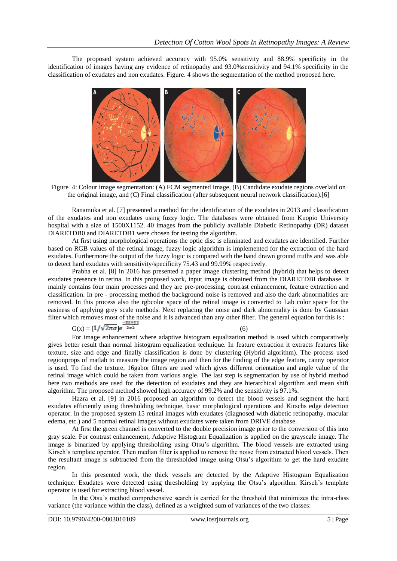The proposed system achieved accuracy with 95.0% sensitivity and 88.9% specificity in the identification of images having any evidence of retinopathy and 93.0%sensitivity and 94.1% specificity in the classification of exudates and non exudates. Figure. 4 shows the segmentation of the method proposed here.



Figure 4: Colour image segmentation: (A) FCM segmented image, (B) Candidate exudate regions overlaid on the original image, and (C) Final classification (after subsequent neural network classification).[6]

Ranamuka et al. [7] presented a method for the identification of the exudates in 2013 and classification of the exudates and non exudates using fuzzy logic. The databases were obtained from Kuopio University hospital with a size of 1500X1152. 40 images from the publicly available Diabetic Retinopathy (DR) dataset DIARETDB0 and DIARETDB1 were chosen for testing the algorithm.

At first using morphological operations the optic disc is eliminated and exudates are identified. Further based on RGB values of the retinal image, fuzzy logic algorithm is implemented for the extraction of the hard exudates. Furthermore the output of the fuzzy logic is compared with the hand drawn ground truths and was able to detect hard exudates with sensitivity/specificity 75.43 and 99.99% respectively.

Prabha et al. [8] in 2016 has presented a paper image clustering method (hybrid) that helps to detect exudates presence in retina. In this proposed work, input image is obtained from the DIARETDBI database. It mainly contains four main processes and they are pre-processing, contrast enhancement, feature extraction and classification. In pre - processing method the background noise is removed and also the dark abnormalities are removed. In this process also the rgbcolor space of the retinal image is converted to Lab color space for the easiness of applying grey scale methods. Next replacing the noise and dark abnormality is done by Gaussian filter which removes most of the noise and it is advanced than any other filter. The general equation for this is :

# $G(x) = [1/\sqrt{2\pi\sigma}]e^{\frac{-x^2+y^2}{2\sigma^2}}$  (6)

For image enhancement where adaptive histogram equalization method is used which comparatively gives better result than normal histogram equalization technique. In feature extraction it extracts features like texture, size and edge and finally classification is done by clustering (Hybrid algorithm). The process used regionprops of matlab to measure the image region and then for the finding of the edge feature, canny operator is used. To find the texture, 16gabor filters are used which gives different orientation and angle value of the retinal image which could be taken from various angle. The last step is segmentation by use of hybrid method here two methods are used for the detection of exudates and they are hierarchical algorithm and mean shift algorithm. The proposed method showed high accuracy of 99.2% and the sensitivity is 97.1%.

Hazra et al. [9] in 2016 proposed an algorithm to detect the blood vessels and segment the hard exudates efficiently using thresholding technique, basic morphological operations and Kirschs edge detection operator. In the proposed system 15 retinal images with exudates (diagnosed with diabetic retinopathy, macular edema, etc.) and 5 normal retinal images without exudates were taken from DRIVE database.

At first the green channel is converted to the double precision image prior to the conversion of this into gray scale. For contrast enhancement, Adaptive Histogram Equalization is applied on the grayscale image. The image is binarized by applying thresholding using Otsu's algorithm. The blood vessels are extracted using Kirsch's template operator. Then median filter is applied to remove the noise from extracted blood vessels. Then the resultant image is subtracted from the thresholded image using Otsu's algorithm to get the hard exudate region.

In this presented work, the thick vessels are detected by the Adaptive Histogram Equalization technique. Exudates were detected using thresholding by applying the Otsu's algorithm. Kirsch's template operator is used for extracting blood vessel.

In the Otsu's method comprehensive search is carried for the threshold that minimizes the intra-class variance (the variance within the class), defined as a weighted sum of variances of the two classes: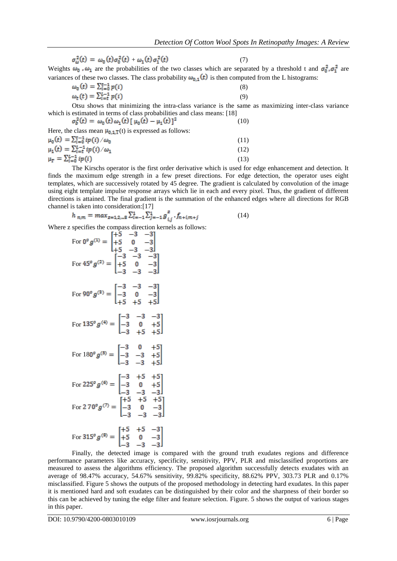$$
\sigma_{\omega}^{2}(t) = \omega_{0}(t)\sigma_{0}^{2}(t) + \omega_{1}(t)\sigma_{1}^{2}(t)
$$
\n(7)

Weights  $\omega_0$ ,  $\omega_1$  are the probabilities of the two classes which are separated by a threshold t and  $\sigma_0^2$ ,  $\sigma_1^2$  are variances of these two classes. The class probability  $\omega_{0,1}(t)$  is then computed from the L histograms:

$$
\omega_0(t) = \sum_{i=0}^{t-1} p(i) \tag{8}
$$
  
\n
$$
\omega_t(t) = \sum_{i=t}^{t-1} p(i) \tag{9}
$$

Otsu shows that minimizing the intra-class variance is the same as maximizing inter-class variance which is estimated in terms of class probabilities and class means: [18]

$$
\sigma_b^2(t) = \omega_0(t)\,\omega_1(t)\,[\,\mu_0(t) - \mu_1(t)\,]^2 \tag{10}
$$

Here, the class mean  $\mu_{0,1,T}(t)$  is expressed as follows:

| $\mu_0(t) = \sum_{i=0}^{t-1} i p(i) / \omega_0$ | (11) |
|-------------------------------------------------|------|
| $\mu_1(t) = \sum_{i=t}^{L-1} i p(i) / \omega_1$ | (12) |
| $\mu_T = \sum_{i=0}^{L-1} i p(i)$               | (13) |

The Kirschs operator is the first order derivative which is used for edge enhancement and detection. It finds the maximum edge strength in a few preset directions. For edge detection, the operator uses eight templates, which are successively rotated by 45 degree. The gradient is calculated by convolution of the image using eight template impulse response arrays which lie in each and every pixel. Thus, the gradient of different directions is attained. The final gradient is the summation of the enhanced edges where all directions for RGB channel is taken into consideration:[17]

$$
h_{n,m} = \max_{z=1,2,\dots, S} \sum_{i=-1}^{1} \sum_{j=-1}^{1} g_{i,j}^{z} \cdot f_{n+i,m+j}
$$
(14)

Where z specifies the compass direction kernels as follows:

For 
$$
0^{\circ} g^{(1)} = \begin{bmatrix} +5 & -3 & -3 \\ +5 & 0 & -3 \\ +5 & -3 & -3 \end{bmatrix}
$$
  
\nFor  $45^{\circ} g^{(2)} = \begin{bmatrix} -3 & -3 & -3 \\ +5 & 0 & -3 \\ -3 & -3 & -3 \end{bmatrix}$   
\nFor  $90^{\circ} g^{(3)} = \begin{bmatrix} -3 & -3 & -3 \\ -3 & 0 & -3 \\ +5 & +5 & +5 \end{bmatrix}$   
\nFor  $135^{\circ} g^{(4)} = \begin{bmatrix} -3 & -3 & -3 \\ -3 & 0 & +5 \\ -3 & +5 & +5 \end{bmatrix}$   
\nFor  $180^{\circ} g^{(5)} = \begin{bmatrix} -3 & 0 & +5 \\ -3 & -3 & +5 \\ -3 & -3 & +5 \end{bmatrix}$   
\nFor  $225^{\circ} g^{(6)} = \begin{bmatrix} -3 & +5 & +5 \\ -3 & -3 & +5 \\ -3 & -3 & -3 \end{bmatrix}$   
\nFor  $270^{\circ} g^{(7)} = \begin{bmatrix} +5 & +5 & +5 \\ -3 & 0 & -3 \\ -3 & -3 & -3 \end{bmatrix}$   
\nFor  $315^{\circ} g^{(8)} = \begin{bmatrix} +5 & +5 & -3 \\ +5 & 0 & -3 \\ -3 & -3 & -3 \end{bmatrix}$ 

Finally, the detected image is compared with the ground truth exudates regions and difference performance parameters like accuracy, specificity, sensitivity, PPV, PLR and misclassified proportions are measured to assess the algorithms efficiency. The proposed algorithm successfully detects exudates with an average of 98.47% accuracy, 54.67% sensitivity, 99.82% specificity, 88.62% PPV, 303.73 PLR and 0.17% misclassified. Figure 5 shows the outputs of the proposed methodology in detecting hard exudates. In this paper it is mentioned hard and soft exudates can be distinguished by their color and the sharpness of their border so this can be achieved by tuning the edge filter and feature selection. Figure. 5 shows the output of various stages in this paper.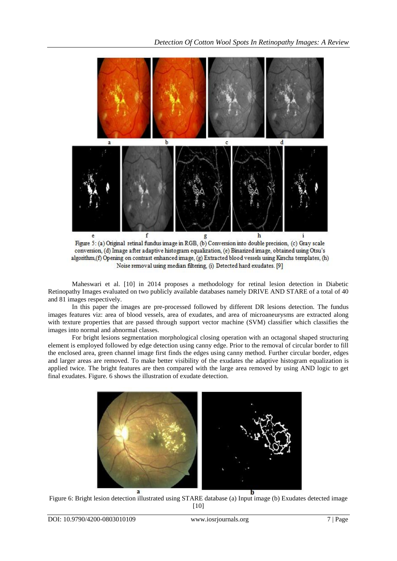

Figure 5: (a) Original retinal fundus image in RGB, (b) Conversion into double precision, (c) Gray scale conversion, (d) Image after adaptive histogram equalization, (e) Binarized image, obtained using Otsu's algorithm, (f) Opening on contrast enhanced image, (g) Extracted blood vessels using Kirschs templates, (h) Noise removal using median filtering, (i) Detected hard exudates. [9]

Maheswari et al. [10] in 2014 proposes a methodology for retinal lesion detection in Diabetic Retinopathy Images evaluated on two publicly available databases namely DRIVE AND STARE of a total of 40 and 81 images respectively.

In this paper the images are pre-processed followed by different DR lesions detection. The fundus images features viz: area of blood vessels, area of exudates, and area of microaneurysms are extracted along with texture properties that are passed through support vector machine (SVM) classifier which classifies the images into normal and abnormal classes.

For bright lesions segmentation morphological closing operation with an octagonal shaped structuring element is employed followed by edge detection using canny edge. Prior to the removal of circular border to fill the enclosed area, green channel image first finds the edges using canny method. Further circular border, edges and larger areas are removed. To make better visibility of the exudates the adaptive histogram equalization is applied twice. The bright features are then compared with the large area removed by using AND logic to get final exudates. Figure. 6 shows the illustration of exudate detection.



Figure 6: Bright lesion detection illustrated using STARE database (a) Input image (b) Exudates detected image [10]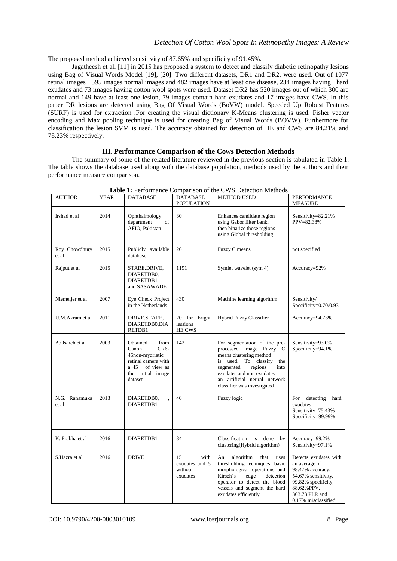The proposed method achieved sensitivity of 87.65% and specificity of 91.45%.

Jagatheesh et al. [11] in 2015 has proposed a system to detect and classify diabetic retinopathy lesions using Bag of Visual Words Model [19], [20]. Two different datasets, DR1 and DR2, were used. Out of 1077 retinal images 595 images normal images and 482 images have at least one disease, 234 images having hard exudates and 73 images having cotton wool spots were used. Dataset DR2 has 520 images out of which 300 are normal and 149 have at least one lesion, 79 images contain hard exudates and 17 images have CWS. In this paper DR lesions are detected using Bag Of Visual Words (BoVW) model. Speeded Up Robust Features (SURF) is used for extraction .For creating the visual dictionary K-Means clustering is used. Fisher vector encoding and Max pooling technique is used for creating Bag of Visual Words (BOVW). Furthermore for classification the lesion SVM is used. The accuracy obtained for detection of HE and CWS are 84.21% and 78.23% respectively.

### **III. Performance Comparison of the Cows Detection Methods**

The summary of some of the related literature reviewed in the previous section is tabulated in Table 1. The table shows the database used along with the database population, methods used by the authors and their performance measure comparison.

| AUTHOR                 | YEAR | DATABASE                                                                                                                            | DATABASE<br><b>POPULATION</b>                       | <b>METHOD USED</b>                                                                                                                                                                                                                                  | PERFORMANCE<br><b>MEASURE</b>                                                                                                                                   |
|------------------------|------|-------------------------------------------------------------------------------------------------------------------------------------|-----------------------------------------------------|-----------------------------------------------------------------------------------------------------------------------------------------------------------------------------------------------------------------------------------------------------|-----------------------------------------------------------------------------------------------------------------------------------------------------------------|
| Irshad et al           | 2014 | Ophthalmology<br>department<br>of<br>AFIO, Pakistan                                                                                 | 30                                                  | Enhances candidate region<br>using Gabor filter bank,<br>then binarize those regions<br>using Global thresholding                                                                                                                                   | Sensitivity=82.21%<br>PPV=82.38%                                                                                                                                |
| Roy Chowdhury<br>et al | 2015 | Publicly available<br>database                                                                                                      | 20                                                  | Fuzzy C means                                                                                                                                                                                                                                       | not specified                                                                                                                                                   |
| Rajput et al           | 2015 | STARE,DRIVE,<br>DIARETDB0,<br>DIARETDB1<br>and SASAWADE                                                                             | 1191                                                | Symlet wavelet (sym 4)                                                                                                                                                                                                                              | Accuracy=92%                                                                                                                                                    |
| Niemeijer et al        | 2007 | Eye Check Project<br>in the Netherlands                                                                                             | 430                                                 | Machine learning algorithm                                                                                                                                                                                                                          | Sensitivity/<br>Specificity=0.70/0.93                                                                                                                           |
| U.M.Akram et al        | 2011 | DRIVE, STARE,<br>DIARETDB0,DIA<br>RETDB1                                                                                            | 20 for bright<br>lessions<br>HE,CWS                 | Hybrid Fuzzy Classifier                                                                                                                                                                                                                             | Accuracy=94.73%                                                                                                                                                 |
| A.Osareh et al         | 2003 | Obtained<br>from<br>$CR6-$<br>Canon<br>45non-mydriatic<br>retinal camera with<br>a 45<br>of view as<br>the initial image<br>dataset | 142                                                 | For segmentation of the pre-<br>processed image Fuzzy C<br>means clustering method<br>used.<br>To classify<br>is<br>the<br>segmented<br>regions<br>into<br>exudates and non exudates<br>an artificial neural network<br>classifier was investigated | Sensitivity=93.0%<br>Specificity=94.1%                                                                                                                          |
| N.G. Ranamuka<br>et al | 2013 | DIARETDB0,<br>DIARETDB1                                                                                                             | 40                                                  | Fuzzy logic                                                                                                                                                                                                                                         | detecting<br>For<br>hard<br>exudates<br>Sensitivity=75.43%<br>Specificity=99.99%                                                                                |
| K. Prabha et al        | 2016 | DIARETDB1                                                                                                                           | 84                                                  | Classification is done by<br>clustering(Hybrid algorithm)                                                                                                                                                                                           | Accuracy=99.2%<br>Sensitivity=97.1%                                                                                                                             |
| S.Hazra et al          | 2016 | <b>DRIVE</b>                                                                                                                        | 15<br>with<br>exudates and 5<br>without<br>exudates | algorithm<br>An<br>that<br>uses<br>thresholding techniques, basic<br>morphological operations and<br>Kirsch's<br>edge<br>detection<br>operator to detect the blood<br>vessels and segment the hard<br>exudates efficiently                          | Detects exudates with<br>an average of<br>98.47% accuracy,<br>54.67% sensitivity,<br>99.82% specificity,<br>88.62%PPV,<br>303.73 PLR and<br>0.17% misclassified |

**Table 1:** Performance Comparison of the CWS Detection Methods